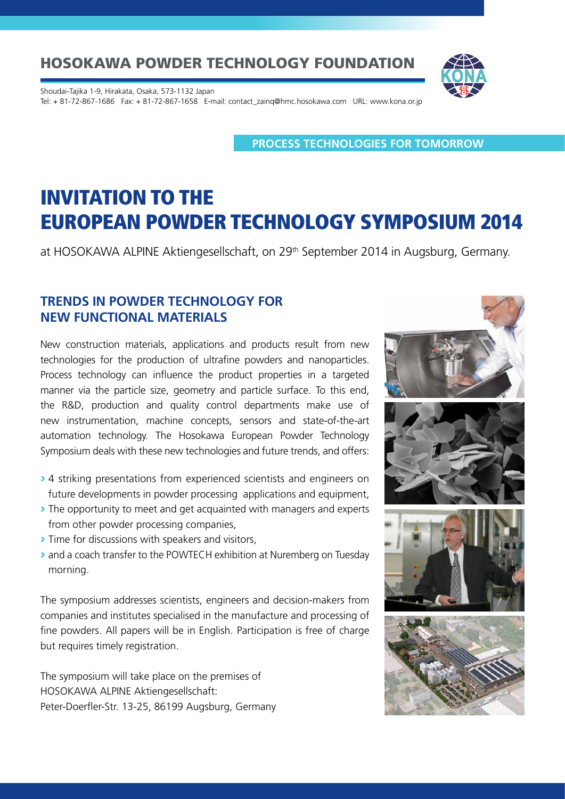Shoudai-Tajika 1-9, Hirakata, Osaka, 573-1132 Japan Tel: + 81-72-867-1686 Fax: + 81-72-867-1658 E-mail: contact\_zainq@hmc.hosokawa.com URL: www.kona.or.jp

**PROCESS TECHNOLOGIES FOR TOMORROW**

# INVITATION TO THE EUROPEAN POWDER TECHNOLOGY SYMPOSIUM 2014

at HOSOKAWA ALPINE Aktiengesellschaft, on 29<sup>th</sup> September 2014 in Augsburg, Germany.

#### **TRENDS IN POWDER TECHNOLOGY FOR NEW FUNCTIONAL MATERIALS**

New construction materials, applications and products result from new technologies for the production of ultrafine powders and nanoparticles. Process technology can influence the product properties in a targeted manner via the particle size, geometry and particle surface. To this end, the R&D, production and quality control departments make use of new instrumentation, machine concepts, sensors and state-of-the-art automation technology. The Hosokawa European Powder Technology Symposium deals with these new technologies and future trends, and offers:

- *›* 4 striking presentations from experienced scientists and engineers on future developments in powder processing applications and equipment,
- *›* The opportunity to meet and get acquainted with managers and experts from other powder processing companies,
- *›* Time for discussions with speakers and visitors,
- *›* and a coach transfer to the POWTECH exhibition at Nuremberg on Tuesday morning.

The symposium addresses scientists, engineers and decision-makers from companies and institutes specialised in the manufacture and processing of fine powders. All papers will be in English. Participation is free of charge but requires timely registration.

The symposium will take place on the premises of HOSOKAWA ALPINE Aktiengesellschaft: Peter-Doerfler-Str. 13-25, 86199 Augsburg, Germany

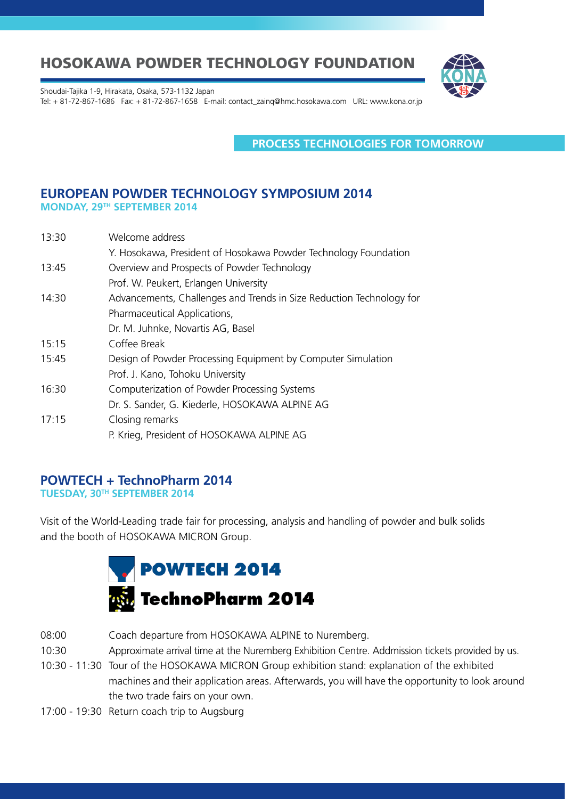

Shoudai-Tajika 1-9, Hirakata, Osaka, 573-1132 Japan

Tel: + 81-72-867-1686 Fax: + 81-72-867-1658 E-mail: contact\_zainq@hmc.hosokawa.com URL: www.kona.or.jp

**PROCESS TECHNOLOGIES FOR TOMORROW**

#### **EUROPEAN POWDER TECHNOLOGY SYMPOSIUM 2014 MONDAY, 29TH SEPTEMBER 2014**

| 13:30 | Welcome address                                                      |
|-------|----------------------------------------------------------------------|
|       | Y. Hosokawa, President of Hosokawa Powder Technology Foundation      |
| 13:45 | Overview and Prospects of Powder Technology                          |
|       | Prof. W. Peukert, Erlangen University                                |
| 14:30 | Advancements, Challenges and Trends in Size Reduction Technology for |
|       | Pharmaceutical Applications,                                         |
|       | Dr. M. Juhnke, Novartis AG, Basel                                    |
| 15:15 | Coffee Break                                                         |
| 15:45 | Design of Powder Processing Equipment by Computer Simulation         |
|       | Prof. J. Kano, Tohoku University                                     |
| 16:30 | Computerization of Powder Processing Systems                         |
|       | Dr. S. Sander, G. Kiederle, HOSOKAWA ALPINE AG                       |
| 17:15 | Closing remarks                                                      |
|       | P. Krieg, President of HOSOKAWA ALPINE AG                            |

#### **POWTECH + TechnoPharm 2014**

**TUESDAY, 30TH SEPTEMBER 2014**

Visit of the World-Leading trade fair for processing, analysis and handling of powder and bulk solids and the booth of HOSOKAWA MICRON Group.



- 08:00 Coach departure from HOSOKAWA ALPINE to Nuremberg.
- 10:30 Approximate arrival time at the Nuremberg Exhibition Centre. Addmission tickets provided by us.
- 10:30 11:30 Tour of the HOSOKAWA MICRON Group exhibition stand: explanation of the exhibited machines and their application areas. Afterwards, you will have the opportunity to look around the two trade fairs on your own.
- 17:00 19:30 Return coach trip to Augsburg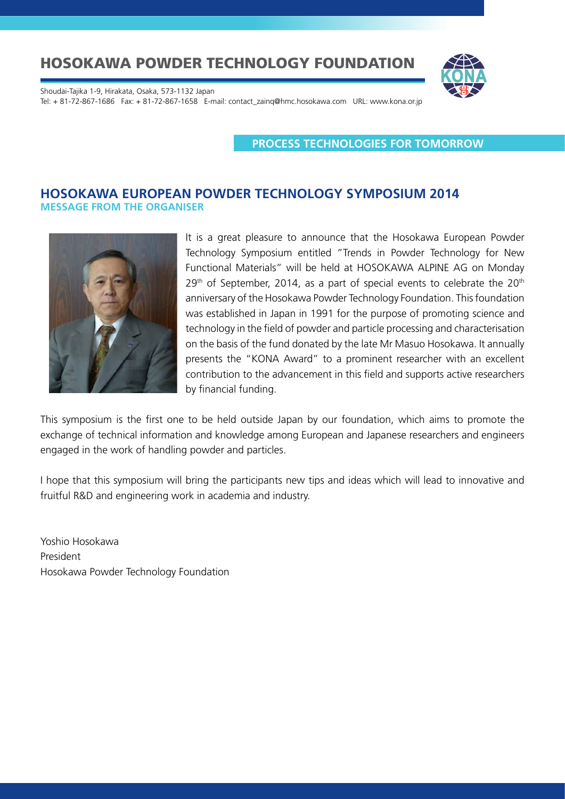

Shoudai-Tajika 1-9, Hirakata, Osaka, 573-1132 Japan Tel: + 81-72-867-1686 Fax: + 81-72-867-1658 E-mail: contact\_zainq@hmc.hosokawa.com URL: www.kona.or.jp

**PROCESS TECHNOLOGIES FOR TOMORROW**

#### **HOSOKAWA EUROPEAN POWDER TECHNOLOGY SYMPOSIUM 2014 MESSAGE FROM THE ORGANISER**



It is a great pleasure to announce that the Hosokawa European Powder Technology Symposium entitled "Trends in Powder Technology for New Functional Materials" will be held at HOSOKAWA ALPINE AG on Monday  $29<sup>th</sup>$  of September, 2014, as a part of special events to celebrate the  $20<sup>th</sup>$ anniversary of the Hosokawa Powder Technology Foundation. This foundation was established in Japan in 1991 for the purpose of promoting science and technology in the field of powder and particle processing and characterisation on the basis of the fund donated by the late Mr Masuo Hosokawa. It annually presents the "KONA Award" to a prominent researcher with an excellent contribution to the advancement in this field and supports active researchers by financial funding.

This symposium is the first one to be held outside Japan by our foundation, which aims to promote the exchange of technical information and knowledge among European and Japanese researchers and engineers engaged in the work of handling powder and particles.

I hope that this symposium will bring the participants new tips and ideas which will lead to innovative and fruitful R&D and engineering work in academia and industry.

Yoshio Hosokawa President Hosokawa Powder Technology Foundation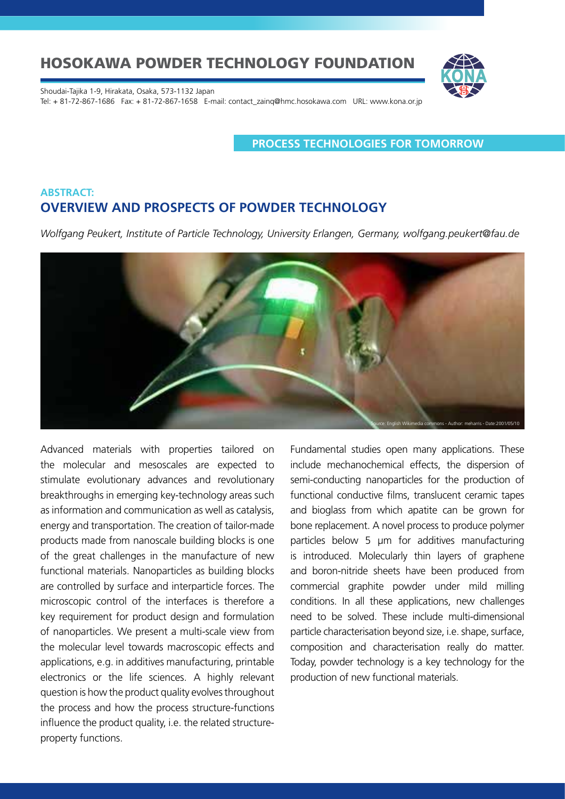

Shoudai-Tajika 1-9, Hirakata, Osaka, 573-1132 Japan Tel: + 81-72-867-1686 Fax: + 81-72-867-1658 E-mail: contact\_zainq@hmc.hosokawa.com URL: www.kona.or.jp

**PROCESS TECHNOLOGIES FOR TOMORROW**

### **ABSTRACT: OVERVIEW AND PROSPECTS OF POWDER TECHNOLOGY**

*Wolfgang Peukert, Institute of Particle Technology, University Erlangen, Germany, wolfgang.peukert@fau.de* 



Advanced materials with properties tailored on the molecular and mesoscales are expected to stimulate evolutionary advances and revolutionary breakthroughs in emerging key-technology areas such as information and communication as well as catalysis, energy and transportation. The creation of tailor-made products made from nanoscale building blocks is one of the great challenges in the manufacture of new functional materials. Nanoparticles as building blocks are controlled by surface and interparticle forces. The microscopic control of the interfaces is therefore a key requirement for product design and formulation of nanoparticles. We present a multi-scale view from the molecular level towards macroscopic effects and applications, e.g. in additives manufacturing, printable electronics or the life sciences. A highly relevant question is how the product quality evolves throughout the process and how the process structure-functions influence the product quality, i.e. the related structureproperty functions.

Fundamental studies open many applications. These include mechanochemical effects, the dispersion of semi-conducting nanoparticles for the production of functional conductive films, translucent ceramic tapes and bioglass from which apatite can be grown for bone replacement. A novel process to produce polymer particles below 5 µm for additives manufacturing is introduced. Molecularly thin layers of graphene and boron-nitride sheets have been produced from commercial graphite powder under mild milling conditions. In all these applications, new challenges need to be solved. These include multi-dimensional particle characterisation beyond size, i.e. shape, surface, composition and characterisation really do matter. Today, powder technology is a key technology for the production of new functional materials.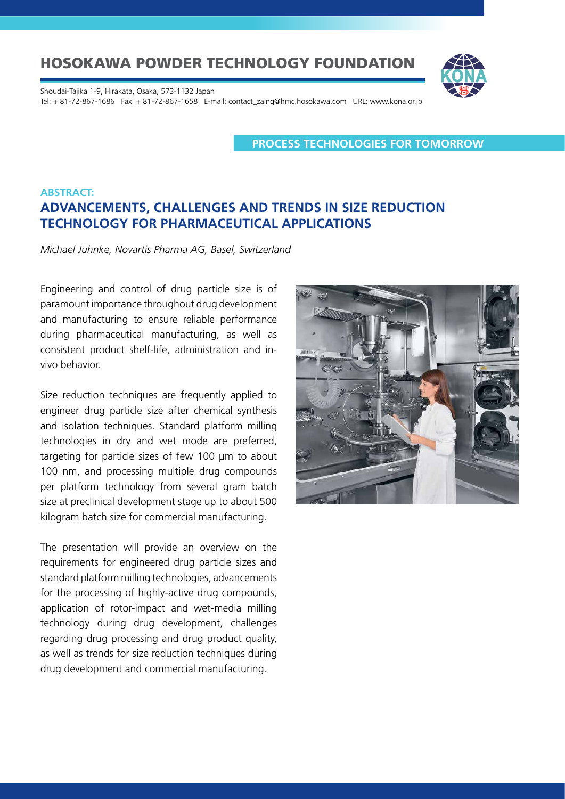Shoudai-Tajika 1-9, Hirakata, Osaka, 573-1132 Japan Tel: + 81-72-867-1686 Fax: + 81-72-867-1658 E-mail: contact\_zainq@hmc.hosokawa.com URL: www.kona.or.jp

**PROCESS TECHNOLOGIES FOR TOMORROW**

### **ABSTRACT: ADVANCEMENTS, CHALLENGES AND TRENDS IN SIZE REDUCTION TECHNOLOGY FOR PHARMACEUTICAL APPLICATIONS**

*Michael Juhnke, Novartis Pharma AG, Basel, Switzerland*

Engineering and control of drug particle size is of paramount importance throughout drug development and manufacturing to ensure reliable performance during pharmaceutical manufacturing, as well as consistent product shelf-life, administration and invivo behavior.

Size reduction techniques are frequently applied to engineer drug particle size after chemical synthesis and isolation techniques. Standard platform milling technologies in dry and wet mode are preferred, targeting for particle sizes of few 100 µm to about 100 nm, and processing multiple drug compounds per platform technology from several gram batch size at preclinical development stage up to about 500 kilogram batch size for commercial manufacturing.

The presentation will provide an overview on the requirements for engineered drug particle sizes and standard platform milling technologies, advancements for the processing of highly-active drug compounds, application of rotor-impact and wet-media milling technology during drug development, challenges regarding drug processing and drug product quality, as well as trends for size reduction techniques during drug development and commercial manufacturing.

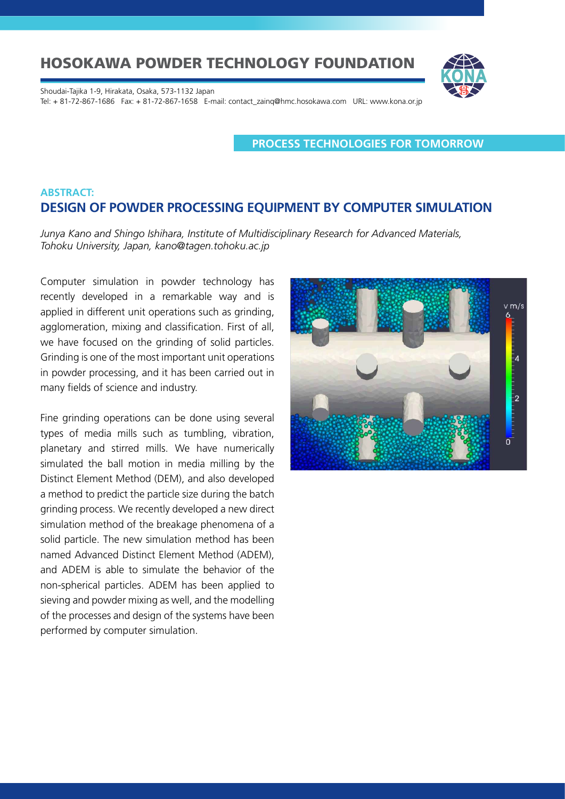

Shoudai-Tajika 1-9, Hirakata, Osaka, 573-1132 Japan Tel: + 81-72-867-1686 Fax: + 81-72-867-1658 E-mail: contact\_zainq@hmc.hosokawa.com URL: www.kona.or.jp

**PROCESS TECHNOLOGIES FOR TOMORROW**

### **ABSTRACT: DESIGN OF POWDER PROCESSING EQUIPMENT BY COMPUTER SIMULATION**

*Junya Kano and Shingo Ishihara, Institute of Multidisciplinary Research for Advanced Materials, Tohoku University, Japan, kano@tagen.tohoku.ac.jp* 

Computer simulation in powder technology has recently developed in a remarkable way and is applied in different unit operations such as grinding, agglomeration, mixing and classification. First of all, we have focused on the grinding of solid particles. Grinding is one of the most important unit operations in powder processing, and it has been carried out in many fields of science and industry.

Fine grinding operations can be done using several types of media mills such as tumbling, vibration, planetary and stirred mills. We have numerically simulated the ball motion in media milling by the Distinct Element Method (DEM), and also developed a method to predict the particle size during the batch grinding process. We recently developed a new direct simulation method of the breakage phenomena of a solid particle. The new simulation method has been named Advanced Distinct Element Method (ADEM), and ADEM is able to simulate the behavior of the non-spherical particles. ADEM has been applied to sieving and powder mixing as well, and the modelling of the processes and design of the systems have been performed by computer simulation.

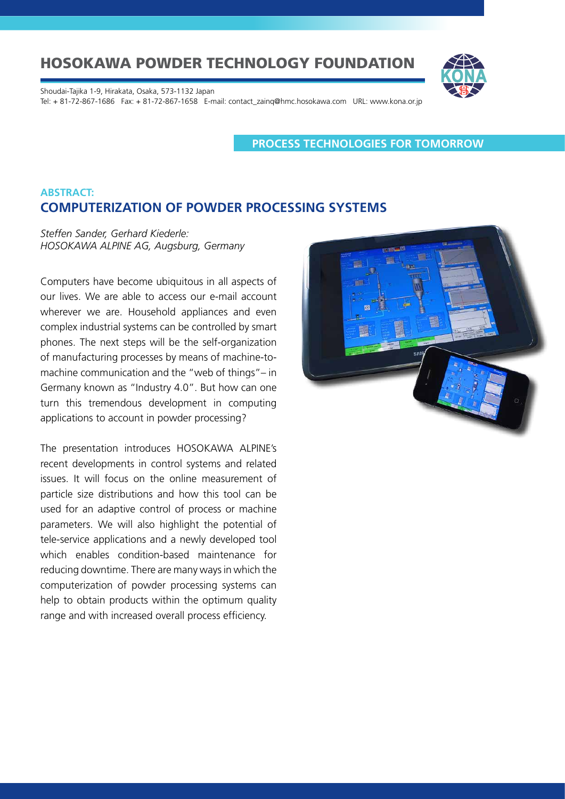Shoudai-Tajika 1-9, Hirakata, Osaka, 573-1132 Japan Tel: + 81-72-867-1686 Fax: + 81-72-867-1658 E-mail: contact\_zainq@hmc.hosokawa.com URL: www.kona.or.jp

**PROCESS TECHNOLOGIES FOR TOMORROW**

### **ABSTRACT: COMPUTERIZATION OF POWDER PROCESSING SYSTEMS**

*Steffen Sander, Gerhard Kiederle: HOSOKAWA ALPINE AG, Augsburg, Germany*

Computers have become ubiquitous in all aspects of our lives. We are able to access our e-mail account wherever we are. Household appliances and even complex industrial systems can be controlled by smart phones. The next steps will be the self-organization of manufacturing processes by means of machine-tomachine communication and the "web of things"– in Germany known as "Industry 4.0". But how can one turn this tremendous development in computing applications to account in powder processing?

The presentation introduces HOSOKAWA ALPINE's recent developments in control systems and related issues. It will focus on the online measurement of particle size distributions and how this tool can be used for an adaptive control of process or machine parameters. We will also highlight the potential of tele-service applications and a newly developed tool which enables condition-based maintenance for reducing downtime. There are many ways in which the computerization of powder processing systems can help to obtain products within the optimum quality range and with increased overall process efficiency.

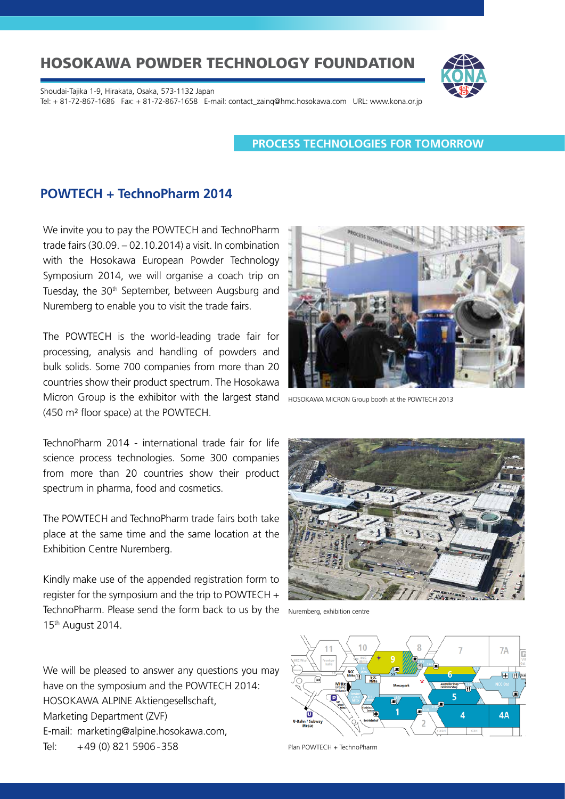Shoudai-Tajika 1-9, Hirakata, Osaka, 573-1132 Japan Tel: + 81-72-867-1686 Fax: + 81-72-867-1658 E-mail: contact\_zainq@hmc.hosokawa.com URL: www.kona.or.jp

#### **PROCESS TECHNOLOGIES FOR TOMORROW**

### **POWTECH + TechnoPharm 2014**

We invite you to pay the POWTECH and TechnoPharm trade fairs (30.09. – 02.10.2014) a visit. In combination with the Hosokawa European Powder Technology Symposium 2014, we will organise a coach trip on Tuesday, the 30<sup>th</sup> September, between Augsburg and Nuremberg to enable you to visit the trade fairs.

The POWTECH is the world-leading trade fair for processing, analysis and handling of powders and bulk solids. Some 700 companies from more than 20 countries show their product spectrum. The Hosokawa Micron Group is the exhibitor with the largest stand но SOKAWA MICRON Group booth at the POWTECH 2013 (450 m² floor space) at the POWTECH.

TechnoPharm 2014 - international trade fair for life science process technologies. Some 300 companies from more than 20 countries show their product spectrum in pharma, food and cosmetics.

The POWTECH and TechnoPharm trade fairs both take place at the same time and the same location at the Exhibition Centre Nuremberg.

Kindly make use of the appended registration form to register for the symposium and the trip to POWTECH  $+$ TechnoPharm. Please send the form back to us by the 15th August 2014.

We will be pleased to answer any questions you may have on the symposium and the POWTECH 2014: HOSOKAWA ALPINE Aktiengesellschaft, Marketing Department (ZVF) E-mail: marketing@alpine.hosokawa.com, Tel: +49 (0) 821 5906-358





Nuremberg, exhibition centre



Plan POWTECH + TechnoPharm